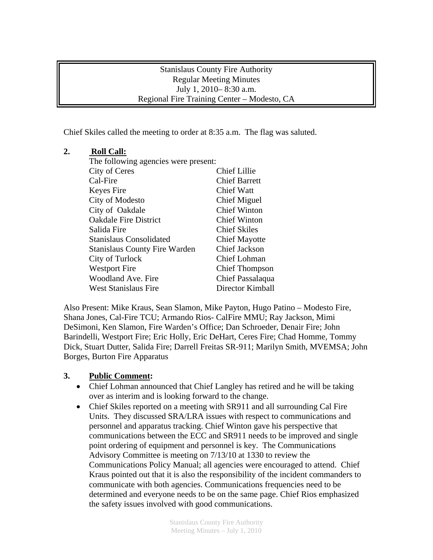#### Stanislaus County Fire Authority Regular Meeting Minutes July 1, 2010– 8:30 a.m. Regional Fire Training Center – Modesto, CA

Chief Skiles called the meeting to order at 8:35 a.m. The flag was saluted.

# **2. Roll Call:**

| The following agencies were present: |                       |
|--------------------------------------|-----------------------|
| City of Ceres                        | <b>Chief Lillie</b>   |
| Cal-Fire                             | <b>Chief Barrett</b>  |
| Keyes Fire                           | <b>Chief Watt</b>     |
| City of Modesto                      | Chief Miguel          |
| City of Oakdale                      | <b>Chief Winton</b>   |
| <b>Oakdale Fire District</b>         | <b>Chief Winton</b>   |
| Salida Fire                          | <b>Chief Skiles</b>   |
| Stanislaus Consolidated              | <b>Chief Mayotte</b>  |
| <b>Stanislaus County Fire Warden</b> | Chief Jackson         |
| City of Turlock                      | <b>Chief Lohman</b>   |
| <b>Westport Fire</b>                 | <b>Chief Thompson</b> |
| Woodland Ave. Fire                   | Chief Passalaqua      |
| <b>West Stanislaus Fire</b>          | Director Kimball      |

Also Present: Mike Kraus, Sean Slamon, Mike Payton, Hugo Patino – Modesto Fire, Shana Jones, Cal-Fire TCU; Armando Rios- CalFire MMU; Ray Jackson, Mimi DeSimoni, Ken Slamon, Fire Warden's Office; Dan Schroeder, Denair Fire; John Barindelli, Westport Fire; Eric Holly, Eric DeHart, Ceres Fire; Chad Homme, Tommy Dick, Stuart Dutter, Salida Fire; Darrell Freitas SR-911; Marilyn Smith, MVEMSA; John Borges, Burton Fire Apparatus

### **3. Public Comment:**

- Chief Lohman announced that Chief Langley has retired and he will be taking over as interim and is looking forward to the change.
- Chief Skiles reported on a meeting with SR911 and all surrounding Cal Fire Units. They discussed SRA/LRA issues with respect to communications and personnel and apparatus tracking. Chief Winton gave his perspective that communications between the ECC and SR911 needs to be improved and single point ordering of equipment and personnel is key. The Communications Advisory Committee is meeting on 7/13/10 at 1330 to review the Communications Policy Manual; all agencies were encouraged to attend. Chief Kraus pointed out that it is also the responsibility of the incident commanders to communicate with both agencies. Communications frequencies need to be determined and everyone needs to be on the same page. Chief Rios emphasized the safety issues involved with good communications.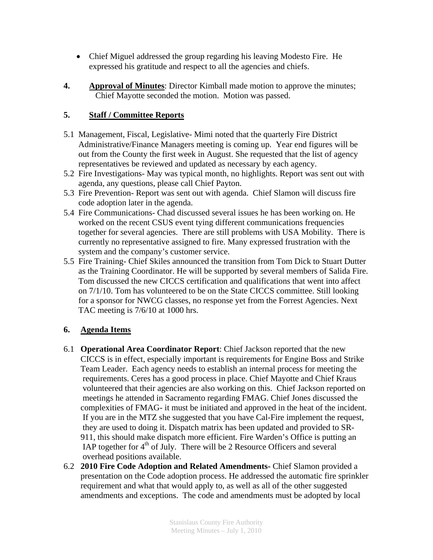- Chief Miguel addressed the group regarding his leaving Modesto Fire. He expressed his gratitude and respect to all the agencies and chiefs.
- **4. Approval of Minutes**: Director Kimball made motion to approve the minutes; Chief Mayotte seconded the motion. Motion was passed.

## **5. Staff / Committee Reports**

- 5.1 Management, Fiscal, Legislative- Mimi noted that the quarterly Fire District Administrative/Finance Managers meeting is coming up. Year end figures will be out from the County the first week in August. She requested that the list of agency representatives be reviewed and updated as necessary by each agency.
- 5.2 Fire Investigations- May was typical month, no highlights. Report was sent out with agenda, any questions, please call Chief Payton.
- 5.3 Fire Prevention- Report was sent out with agenda. Chief Slamon will discuss fire code adoption later in the agenda.
- 5.4 Fire Communications- Chad discussed several issues he has been working on. He worked on the recent CSUS event tying different communications frequencies together for several agencies. There are still problems with USA Mobility. There is currently no representative assigned to fire. Many expressed frustration with the system and the company's customer service.
- 5.5 Fire Training- Chief Skiles announced the transition from Tom Dick to Stuart Dutter as the Training Coordinator. He will be supported by several members of Salida Fire. Tom discussed the new CICCS certification and qualifications that went into affect on 7/1/10. Tom has volunteered to be on the State CICCS committee. Still looking for a sponsor for NWCG classes, no response yet from the Forrest Agencies. Next TAC meeting is 7/6/10 at 1000 hrs.

### **6. Agenda Items**

- 6.1 **Operational Area Coordinator Report**: Chief Jackson reported that the new CICCS is in effect, especially important is requirements for Engine Boss and Strike Team Leader. Each agency needs to establish an internal process for meeting the requirements. Ceres has a good process in place. Chief Mayotte and Chief Kraus volunteered that their agencies are also working on this. Chief Jackson reported on meetings he attended in Sacramento regarding FMAG. Chief Jones discussed the complexities of FMAG- it must be initiated and approved in the heat of the incident. If you are in the MTZ she suggested that you have Cal-Fire implement the request, they are used to doing it. Dispatch matrix has been updated and provided to SR-911, this should make dispatch more efficient. Fire Warden's Office is putting an IAP together for  $4<sup>th</sup>$  of July. There will be 2 Resource Officers and several overhead positions available.
- 6.2 **2010 Fire Code Adoption and Related Amendments-** Chief Slamon provided a presentation on the Code adoption process. He addressed the automatic fire sprinkler requirement and what that would apply to, as well as all of the other suggested amendments and exceptions. The code and amendments must be adopted by local